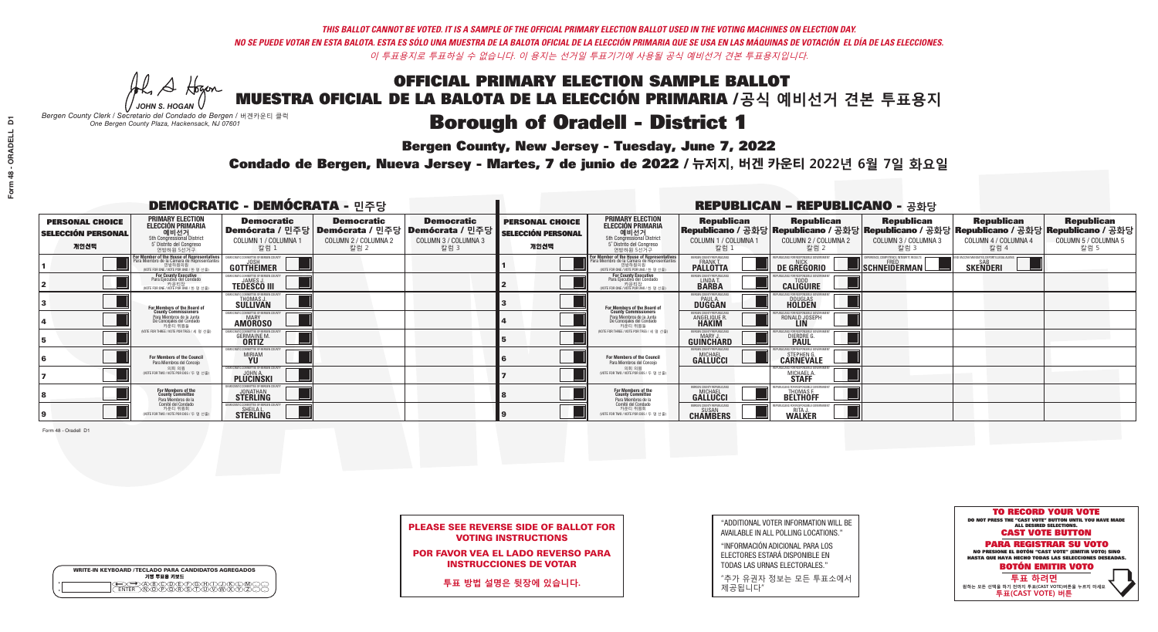**Bergen County, New Jersey - Tuesday, June 7, 2022** 

A Hogen *JOHN S. HOGAN*

| <b>WRITE-IN KEYBOARD /TECLADO PARA CANDIDATOS AGREGADOS</b><br>기명 투표용 키보드 |  |
|---------------------------------------------------------------------------|--|
| <del>QO</del> @@@@@@@@@QQ@<br>NTER_\N\@@@@R\\$\T\U\V\W\X                  |  |

*Bergen County Clerk / Secretario del Condado de Bergen /* 버겐카운티 클럭 *One Bergen County Plaza, Hackensack, NJ 07601*



PLEASE SEE REVERSE SIDE OF BALLOT FOR VOTING INSTRUCTIONS

POR FAVOR VEA EL LADO REVERSO PARA INSTRUCCIONES DE VOTAR

**투표 방법 설명은 뒷장에 있습니다.**

"ADDITIONAL VOTER INFORMATION WILL BE AVAILABLE IN ALL POLLING LOCATIONS."

"INFORMACIÓN ADICIONAL PARA LOS ELECTORES ESTARÁ DISPONIBLE EN TODAS LAS URNAS ELECTORALES."

"추가 유권자 정보는 모든 투표소에서 제공됩니다"

Condado de Bergen, Nueva Jersey - Martes, 7 de junio de 2022 / 뉴저지, 버겐 카운티 2022년 6월 7일 화요일 *One Bergen County Plaza, Hackensack, NJ 07601*

| <b>DEMOCRATIC - DEMÓCRATA - 민주당</b>                         |                                                                                                                                    |                                                                                                              |                                                   |                                                   |                                                             |                                                                                                                                               |                                                            | <b>REPUBLICAN - REPUBLICANO - 공화당</b>                                                                                                          |                                                   |                                                   |                                                   |
|-------------------------------------------------------------|------------------------------------------------------------------------------------------------------------------------------------|--------------------------------------------------------------------------------------------------------------|---------------------------------------------------|---------------------------------------------------|-------------------------------------------------------------|-----------------------------------------------------------------------------------------------------------------------------------------------|------------------------------------------------------------|------------------------------------------------------------------------------------------------------------------------------------------------|---------------------------------------------------|---------------------------------------------------|---------------------------------------------------|
| <b>PERSONAL CHOICE</b><br><b>SELECCIÓN PERSONAL</b><br>개인선택 | <b>PRIMARY ELECTION</b><br><b>ELECCIÓN PRIMARIA</b><br>예비선거<br>5th Congressional District<br>5° Distrito del Congreso<br>연방하원 5선거구 | <b>Democratic</b><br>  Demócrata / 민주당   Demócrata / 민주당   Demócrata / 민주당  <br>COLUMN 1 / COLUMNA 1<br>칼럼 1 | <b>Democratic</b><br>COLUMN 2 / COLUMNA 2<br>칼럼 2 | <b>Democratic</b><br>COLUMN 3 / COLUMNA 3<br>칼럼 3 | <b>PERSONAL CHOICE</b><br><b>SELECCIÓN PERSONAL</b><br>개인선택 | <b>PRIMARY ELECTION</b><br>ELECCIÓN PRIMARIA<br>예비선거<br>5th Congressional District<br>5° Distrito del Congreso<br>연방하원 5선거구                   | <b>Republican</b><br>COLUMN 1 / COLUMNA 1<br>칼럼            | <b>Republican</b><br>Republicano / 공화당 Republicano / 공화당 Republicano / 공화당 Republicano / 공화당 Republicano / 공화당<br>COLUMN 2 / COLUMNA 2<br>칼럼 2 | <b>Republican</b><br>COLUMN 3 / COLUMNA 3<br>칼럼 3 | <b>Republican</b><br>COLUMN 4 / COLUMNA 4<br>칼럼 4 | <b>Republican</b><br>COLUMN 5 / COLUMNA 5<br>칼럼 5 |
|                                                             | For Member of the House of Representatives<br>Para Miembro de la Cámara de Representantes                                          | <b>GOTTHEIMER</b>                                                                                            |                                                   |                                                   |                                                             | For Member of the House of Representatives<br>Para Miembro de la Cámara de Representantes<br>연방하원의원<br>(VOTE FOR ONE / VOTE POR UNO / 한 명 선출) | BERGEN COUNTY REPUBLICAN<br><b>PALLOTTA</b>                | DE GREGORIO                                                                                                                                    | SCHNEIDERMAN                                      | <b>SKENDERI</b>                                   |                                                   |
|                                                             | <b>For County Executive</b><br>Para Ejecutivo del Condado<br>가운티장<br>(VOTE FOR ONE / VOTE POR UNO / 한 명 선출)                        | EMOCRATIC COMMITTEE OF BERGEN COUNT<br><b>TEDESCO III</b>                                                    |                                                   |                                                   |                                                             | For County Executive<br>Para Ejecutivo del Condado<br>WOTE FOR ONE / VOTE POR UNO / 한 명 선출                                                    | BERGEN COUNTY REPUBLICAN<br>LINDA T.                       | <b>CALIGUIRE</b>                                                                                                                               |                                                   |                                                   |                                                   |
|                                                             | <b>For Members of the Board of<br/>County Commissioners</b>                                                                        | MOCRATIC COMMITTEE OF BERGEN COUNT:<br>THOMAS J.                                                             |                                                   |                                                   |                                                             | For Members of the Board of<br>County Commissioners                                                                                           | ERGEN COUNTY REPUBLICAN<br><b>PAUL A.</b><br><b>DUGGAN</b> | <b>DOUGLAS</b>                                                                                                                                 |                                                   |                                                   |                                                   |
|                                                             | Para Miembros de la Junta<br>De Concejales del Condado<br>카운티 위원들                                                                  | MOCRATIC COMMITTEE OF BERGEN COUNTY<br><b>AMOROSO</b>                                                        |                                                   |                                                   |                                                             | Para Miembros de la Junta<br>De Concejales del Condado<br>카운티 위원들                                                                             | ERGEN COUNTY REPUBLICAN<br>ANGELIQUE R                     | RONALD JOSEPH<br><b>LIN</b>                                                                                                                    |                                                   |                                                   |                                                   |
|                                                             | NOTE FOR THREE / VOTE POR TRES / 세 명 선출                                                                                            | TIC COMMITTEE OF BERGEN COUNT<br><b>GERMAINE M.</b>                                                          |                                                   |                                                   |                                                             | (VOTE FOR THREE / VOTE POR TRES / 세 명 선출)                                                                                                     | ERGEN COUNTY REPUBLICAN<br>MARY J<br><b>GUINCHARD</b>      | <b>DIERDRE G</b><br><b>PAUL</b>                                                                                                                |                                                   |                                                   |                                                   |
|                                                             | For Members of the Council<br>Para Miembros del Conceio                                                                            | MOCRATIC COMMITTEE OF BERGEN COUNT:<br><b>MIRIAM</b>                                                         |                                                   |                                                   |                                                             | For Members of the Council<br>Para Miembros del Conceio                                                                                       | <b>FRGEN COUNTY REPUBLICAN</b><br><b>GALLUCCI</b>          | STEPHEN G.<br>CARNEVALE                                                                                                                        |                                                   |                                                   |                                                   |
|                                                             | 의회 의원<br>(VOTE FOR TWO / VOTE POR DOS / 두 명 선출)                                                                                    | EMOCRATIC COMMITTEE OF BERGEN COUNT<br><b>PLUCINSKI</b>                                                      |                                                   |                                                   |                                                             | 의회 의원<br>NOTE FOR TWO / VOTE POR DOS / 두 명 선출)                                                                                                |                                                            | MICHAEL A                                                                                                                                      |                                                   |                                                   |                                                   |
|                                                             | For Members of the<br>County Committee<br>Para Miembros de la                                                                      | <b>STERLING</b>                                                                                              |                                                   |                                                   |                                                             | For Members of the<br>County Committee<br>Para Miembros de la<br>Comité del Condado                                                           | ERGEN COUNTY REPUBLICAL<br><b>GALLUCCI</b>                 | THOMAS F.                                                                                                                                      |                                                   |                                                   |                                                   |
|                                                             | Comité del Condado<br>카운티 위원회<br>(VOTE FOR TWO / VOTE POR DOS / 두 명 선출)                                                            | MOCRATIC COMMITTEE OF BERGEN C<br><b>STERLING</b>                                                            |                                                   |                                                   |                                                             | 카운티 위원회<br>(VOTE FOR TWO / VOTE POR DOS / 두 명 선출                                                                                              | <b>CHAMBERS</b>                                            | <b>WALKER</b>                                                                                                                                  |                                                   |                                                   |                                                   |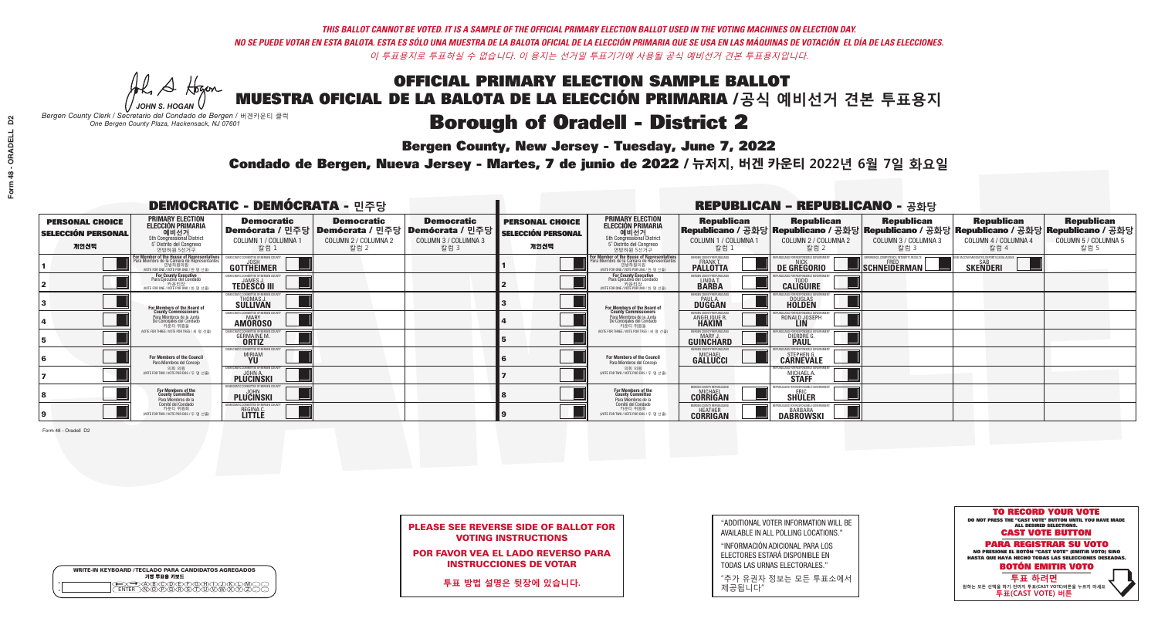**Bergen County, New Jersey - Tuesday, June 7, 2022** 

A Hogan *JOHN S. HOGAN*

|              | <b>WRITE-IN KEYBOARD /TECLADO PARA CANDIDATOS AGREGADOS</b><br>기명 투표용 키보드 |
|--------------|---------------------------------------------------------------------------|
| o<br>$\circ$ | @®©®©©©®<br>®®®®®®©®®                                                     |

*Bergen County Clerk / Secretario del Condado de Bergen /* 버겐카운티 클럭 *One Bergen County Plaza, Hackensack, NJ 07601*



PLEASE SEE REVERSE SIDE OF BALLOT FOR VOTING INSTRUCTIONS

POR FAVOR VEA EL LADO REVERSO PARA INSTRUCCIONES DE VOTAR

**투표 방법 설명은 뒷장에 있습니다.**

"ADDITIONAL VOTER INFORMATION WILL BE AVAILABLE IN ALL POLLING LOCATIONS."

"INFORMACIÓN ADICIONAL PARA LOS ELECTORES ESTARÁ DISPONIBLE EN TODAS LAS URNAS ELECTORALES."

"추가 유권자 정보는 모든 투표소에서 제공됩니다"

Condado de Bergen, Nueva Jersey - Martes, 7 de junio de 2022 / 뉴저지, 버겐 카운티 2022년 6월 7일 화요일 *One Bergen County Plaza, Hackensack, NJ 07601*

|                                                             | <b>DEMOCRATIC - DEMÓCRATA - 민주당</b>                                                                                                |                                                           |                                                   |                                                                                                        |                                                             | <b>REPUBLICAN - REPUBLICANO - 공화당</b>                                                                                                        |                                                               |                                                                                                                                                |                                                   |                                                              |                                                   |
|-------------------------------------------------------------|------------------------------------------------------------------------------------------------------------------------------------|-----------------------------------------------------------|---------------------------------------------------|--------------------------------------------------------------------------------------------------------|-------------------------------------------------------------|----------------------------------------------------------------------------------------------------------------------------------------------|---------------------------------------------------------------|------------------------------------------------------------------------------------------------------------------------------------------------|---------------------------------------------------|--------------------------------------------------------------|---------------------------------------------------|
| <b>PERSONAL CHOICE</b><br><b>SELECCIÓN PERSONAL</b><br>개인선택 | <b>PRIMARY ELECTION</b><br><b>ELECCIÓN PRIMARIA</b><br>예비선거<br>5th Congressional District<br>5° Distrito del Congreso<br>연방하원 5선거구 | <b>Democratic</b><br>COLUMN 1 / COLUMNA 1<br>_ 칼럼 1       | <b>Democratic</b><br>COLUMN 2 / COLUMNA 2<br>칼럼 2 | <b>Democratic</b><br>│Demócrata / 민주당│Demócrata / 민주당│Demócrata / 민주당┃<br>COLUMN 3 / COLUMNA 3<br>칼럼 3 | <b>PERSONAL CHOICE</b><br><b>SELECCIÓN PERSONAL</b><br>개인선택 | <b>PRIMARY ELECTION</b><br><b>ELECCIÓN PRIMARIA</b><br>예비선거<br>5th Congressional District<br>5° Distrito del Congreso<br>연방하원 5선거구           | <b>Republican</b><br>COLUMN 1 / COLUMNA 1<br>칼럼 :             | <b>Republican</b><br>Republicano / 공화당 Republicano / 공화당 Republicano / 공화당 Republicano / 공화당 Republicano / 공화당<br>COLUMN 2 / COLUMNA 2<br>칼럼 2 | <b>Republican</b><br>COLUMN 3 / COLUMNA 3<br>칼럼 3 | <b>Republican</b><br>COLUMN 4 / COLUMNA 4<br>칼럼 4            | <b>Republican</b><br>COLUMN 5 / COLUMNA 5<br>칼럼 5 |
|                                                             | For Member of the House of Representatives<br>Para Miembro de la Cámara de Representantes                                          | <b>GOTTHEIMER</b>                                         |                                                   |                                                                                                        |                                                             | For Member of the House of Representatives<br>Para Miembro de la Cámara de Representantes<br>연방하원의원<br>(VOTE FOR ONE / VOTE POR UNO / 한 명 선출 | ERGEN COUNTY REPUBLICAN:<br><b>PALLOTTA</b>                   | DE GREGORIO                                                                                                                                    | SCHNEIDERMAN                                      | ) VACCINE MANDATES, DEPORT ILLEGAL ALIENS<br><b>SKENDERI</b> |                                                   |
|                                                             | <b>For County Executive</b><br>Para Ejecutivo del Condado<br>NOTE FOR ONE / VOTE POR UNO / 한 명 선출)                                 | EMOCRATIC COMMITTEE OF BERGEN COUNT<br><b>TEDESCO III</b> |                                                   |                                                                                                        |                                                             | <b>For County Executive</b><br>Para Ejecutivo del Condado<br>키운티상<br>MOTE FOR ONE / VOTE POR UNO / 한 명 선출)                                   | BERGEN COUNTY REPUBLICAN<br>LINDA T.                          | <b>CALIGUIRE</b>                                                                                                                               |                                                   |                                                              |                                                   |
|                                                             | <b>For Members of the Board of<br/>County Commissioners</b>                                                                        | MOCRATIC COMMITTEE OF BERGEN COUNT:<br>THOMAS J.          |                                                   |                                                                                                        |                                                             | For Members of the Board of<br>County Commissioners                                                                                          | ERGEN COUNTY REPUBLICAN<br><b>PAUL A.</b><br><b>DUGGAN</b>    | <b>DOUGLAS</b><br><b>HOLDEN</b>                                                                                                                |                                                   |                                                              |                                                   |
|                                                             | Para Miembros de la Junta<br>De Concejales del Condado<br>카운티 위원들                                                                  | MOCRATIC COMMITTEE OF BERGEN COUNTY<br><b>AMOROSO</b>     |                                                   |                                                                                                        |                                                             | Para Miembros de la Junta<br>De Concejales del Condado<br>카운티 위원들                                                                            | ERGEN COUNTY REPUBLICAN<br><b>ANGELIQUE R</b><br><b>HAKIM</b> | RONALD JOSEPH<br><b>LIN</b>                                                                                                                    |                                                   |                                                              |                                                   |
|                                                             | NOTE FOR THREE / VOTE POR TRES / 세 명 선출                                                                                            | ATIC COMMITTEE OF BERGEN COUNT<br><b>GERMAINE M.</b>      |                                                   |                                                                                                        |                                                             | NOTE FOR THREE / VOTE POR TRES / 세 명 선출!                                                                                                     | ERGEN COUNTY REPUBLICANS<br>MARY J.<br>GUINCHARD              | DIERDRE O                                                                                                                                      |                                                   |                                                              |                                                   |
|                                                             | For Members of the Council<br>Para Miembros del Conceio                                                                            | MOCRATIC COMMITTEE OF BERGEN COUNT:<br><b>MIRIAM</b>      |                                                   |                                                                                                        |                                                             | For Members of the Council<br>Para Miembros del Conceio                                                                                      | FRGEN COUNTY REPUBLICAN:<br><b>GALLUCCI</b>                   | STEPHEN G.<br>CARNEVALE                                                                                                                        |                                                   |                                                              |                                                   |
|                                                             | 의회 의원<br>(VOTE FOR TWO / VOTE POR DOS / 두 명 선출)                                                                                    | EMOCRATIC COMMITTEE OF BERGEN COUNT<br><b>PLUCINSKI</b>   |                                                   |                                                                                                        |                                                             | 의회 의원<br>NOTE FOR TWO / VOTE POR DOS / 두 명 선출)                                                                                               |                                                               | MICHAEL A.                                                                                                                                     |                                                   |                                                              |                                                   |
|                                                             | For Members of the<br>County Committee<br>Para Miembros de la                                                                      | MOCRATIC COMMITTEE OF RERGEN COLINI<br>PLUCINSKI          |                                                   |                                                                                                        |                                                             | For Members of the<br>County Committee<br>Para Miembros de la<br>Comité del Condado                                                          | FRGEN COUNTY REPUBLICAL<br><b>CORRIGAN</b>                    | <b>SHULER</b>                                                                                                                                  |                                                   |                                                              |                                                   |
|                                                             | Comité del Condado<br>카운티 위원회<br>(VOTE FOR TWO / VOTE POR DOS / 두 명 선출)                                                            | FMOCRATIC COMMITTEE OF BERGEN COUNT<br>REGINA C.          |                                                   |                                                                                                        |                                                             | 카운티 위원회<br>(VOTE FOR TWO / VOTE POR DOS / 두 명 선출                                                                                             | <b>HEATHER</b><br><b>CORRIGAN</b>                             | <b>DABROWSKI</b>                                                                                                                               |                                                   |                                                              |                                                   |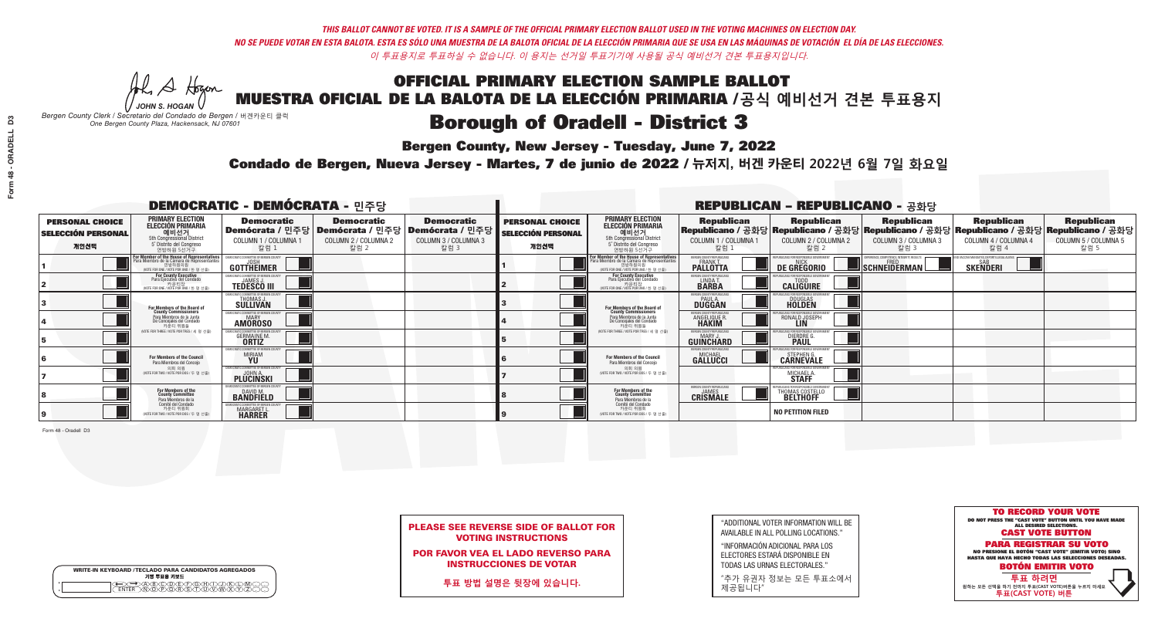**Bergen County, New Jersey - Tuesday, June 7, 2022** 

A Hogen *JOHN S. HOGAN*

| <b>WRITE-IN KEYBOARD /TECLADO PARA CANDIDATOS AGREGADOS</b><br>기명 투표용 키보드 |  |
|---------------------------------------------------------------------------|--|
| E@®©®®®®®®©©®<br>EM®®®®®®©™™®®®<br><b>FNTFR</b>                           |  |

*Bergen County Clerk / Secretario del Condado de Bergen /* 버겐카운티 클럭 *One Bergen County Plaza, Hackensack, NJ 07601*

Condado de Bergen, Nueva Jersey - Martes, 7 de junio de 2022 / 뉴저지, 버겐 카운티 2022년 6월 7일 화요일 *One Bergen County Plaza, Hackensack, NJ 07601*



PLEASE SEE REVERSE SIDE OF BALLOT FOR VOTING INSTRUCTIONS

POR FAVOR VEA EL LADO REVERSO PARA INSTRUCCIONES DE VOTAR

**투표 방법 설명은 뒷장에 있습니다.**

| "ADDITIONAL VOTER INFORMATION WILL BE |
|---------------------------------------|
| AVAILABLE IN ALL POLLING LOCATIONS."  |

"INFORMACIÓN ADICIONAL PARA LOS ELECTORES ESTARÁ DISPONIBLE EN TODAS LAS URNAS ELECTORALES."

"추가 유권자 정보는 모든 투표소에서 제공됩니다"

| <b>DEMOCRATIC - DEMÓCRATA - 민주당</b>                         |                                                                                                                                    |                                                                                                        |                                                   |                                                   |                                                             |                                                                                                                                   |                                                              | <b>REPUBLICAN - REPUBLICANO - 공화당</b>             |                                                                                                                                                |                                                           |                                                   |
|-------------------------------------------------------------|------------------------------------------------------------------------------------------------------------------------------------|--------------------------------------------------------------------------------------------------------|---------------------------------------------------|---------------------------------------------------|-------------------------------------------------------------|-----------------------------------------------------------------------------------------------------------------------------------|--------------------------------------------------------------|---------------------------------------------------|------------------------------------------------------------------------------------------------------------------------------------------------|-----------------------------------------------------------|---------------------------------------------------|
| <b>PERSONAL CHOICE</b><br><b>SELECCIÓN PERSONAL</b><br>개인선택 | <b>PRIMARY ELECTION</b><br><b>ELECCIÓN PRIMARIA</b><br>예비선거<br>5th Congressional District<br>5° Distrito del Congreso<br>연방하원 5선거구 | <b>Democratic</b><br>│Demócrata / 민주당│Demócrata / 민주당│Demócrata / 민주당┃<br>COLUMN 1 / COLUMNA 1<br>칼럼 1 | <b>Democratic</b><br>COLUMN 2 / COLUMNA 2<br>칼럼 2 | <b>Democratic</b><br>COLUMN 3 / COLUMNA 3<br>칼럼 3 | <b>PERSONAL CHOICE</b><br><b>SELECCIÓN PERSONAL</b><br>개인선택 | <b>PRIMARY ELECTION</b><br>ELECCIÓN PRIMARIA<br>5th Congressional District<br>5° Distrito del Congreso<br>연방하원 5선거구               | <b>Republican</b><br>COLUMN 1 / COLUMNA 1<br>칼럼              | <b>Republican</b><br>COLUMN 2 / COLUMNA 2<br>칼럼 2 | <b>Republican</b><br>Republicano / 공화당 Republicano / 공화당 Republicano / 공화당 Republicano / 공화당 Republicano / 공화당<br>COLUMN 3 / COLUMNA 3<br>칼럼 3 | <b>Republican</b><br>COLUMN 4 / COLUMNA 4<br>칼럼 4         | <b>Republican</b><br>COLUMN 5 / COLUMNA 5<br>칼럼 5 |
|                                                             | F <b>or Member of the House of Representatives</b><br>Para Miembro de la Cámara de Representantes                                  | <b>GOTTHEIMER</b>                                                                                      |                                                   |                                                   |                                                             | For Member of the House of Representatives<br>Para Miembro de la Cámara de Representantes<br>WOTE FOR ONE / VOTE POR UNO / 한 명 선출 | BERGEN COUNTY REPUBLICAN<br><b>PALLOTTA</b>                  | DE GREGORIO                                       | $\blacksquare$ Schneiderman                                                                                                                    | /ACCINE MANDATES, DEPORT ILLEGAL ALIEN<br><b>SKENDERI</b> |                                                   |
|                                                             | For County Executive<br>Para Ejecutivo del Condado<br>가운티장<br>(VOTE FOR ONE / VOTE POR UNO / 한 명 선출)                               | <b>TEDESCO III</b>                                                                                     |                                                   |                                                   |                                                             | <b>For County Executive</b><br>Para Ejecutivo del Condado<br>WOTE FOR ONE / VOTE POR UNO / 한 명 선출                                 | BERGEN COUNTY REPUBLICA<br>LINDA T.                          | <b>CALIGUIRE</b>                                  |                                                                                                                                                |                                                           |                                                   |
|                                                             | <b>For Members of the Board of<br/>County Commissioners</b>                                                                        | MOCRATIC COMMITTEE OF BERGEN COUN'<br>THOMAS J.                                                        |                                                   |                                                   |                                                             | For Members of the Board of<br>County Commissioners                                                                               | ERGEN COUNTY REPUBLICAN<br><b>PAUL A.</b><br><b>DUGGAN</b>   | <b>DOUGLAS</b>                                    |                                                                                                                                                |                                                           |                                                   |
|                                                             | Para Miembros de la Junta<br>De Concejales del Condado<br>카운티 위원들                                                                  | EMOCRATIC COMMITTEE OF BERGEN COUNT<br><b>MARY</b><br><b>AMOROSO</b>                                   |                                                   |                                                   |                                                             | Para Miembros de la Junta<br>De Concejales del Condado<br>카운티 위원들                                                                 | <b>FRGEN COUNTY REPUBLICAN</b><br><b>ANGELIQUE R</b>         | RONALD JOSEPH<br><b>LIN</b>                       |                                                                                                                                                |                                                           |                                                   |
|                                                             | (VOTE FOR THREE / VOTE POR TRES / 세 명 선출)                                                                                          | ATIC COMMITTEE OF BERGEN COUNT<br><b>GERMAINE M.</b>                                                   |                                                   |                                                   |                                                             | NOTE FOR THREE / VOTE POR TRES / 세 명 선출)                                                                                          | ERGEN COUNTY REPUBLICAN<br>MARY J<br>GUINCHARD               | <b>DIERDRE</b>                                    |                                                                                                                                                |                                                           |                                                   |
|                                                             | For Members of the Council<br>Para Miembros del Conceio                                                                            | <i><b>MOCRATIC COMMITTEE OF BERGEN COUNTY</b></i><br><b>MIRIAM</b>                                     |                                                   |                                                   |                                                             | <b>For Members of the Council</b><br>Para Miembros del Conceio                                                                    | FRGEN COUNTY REPUBLICANS<br><b>GALLUCCI</b>                  | STEPHEN G.<br><b>CARNEVALE</b>                    |                                                                                                                                                |                                                           |                                                   |
|                                                             | 의회 의원<br>NOTE FOR TWO / VOTE POR DOS / 두 명 선출)                                                                                     | EMOCRATIC COMMITTEE OF BERGEN COUNTY<br><b>PLUCINSKI</b>                                               |                                                   |                                                   |                                                             | 의회 의원<br>NOTE FOR TWO / VOTE POR DOS / 두 명 선출)                                                                                    |                                                              | RI ICANS ENR RESPONSIRI E GOVERNM<br>MICHAEL A    |                                                                                                                                                |                                                           |                                                   |
|                                                             | For Members of the<br>County Committee<br>Para Miembros de la                                                                      | MOCRATIC COMMITTEE OF BERGEN COUNT<br><b>BANDFIELD</b>                                                 |                                                   |                                                   |                                                             | For Members of the<br>County Committee<br>Para Miembros de la<br>Comité del Condado                                               | BERGEN COUNTY REPUBLICANS<br><b>JAMES</b><br><b>CRISMALE</b> | <b>HOMAS COSTELLO</b>                             |                                                                                                                                                |                                                           |                                                   |
|                                                             | Comité del Condado<br>카운티 위원회<br>NOTE FOR TWO / VOTE POR DOS / 두 명 선출)                                                             | MOCRATIC COMMITTEE OF BERGEN COUNT:<br>MARGARET L.                                                     |                                                   |                                                   |                                                             | 카운티 위원회<br>(VOTE FOR TWO / VOTE POR DOS / 두 명 선출)                                                                                 |                                                              | <b>NO PETITION FILED</b>                          |                                                                                                                                                |                                                           |                                                   |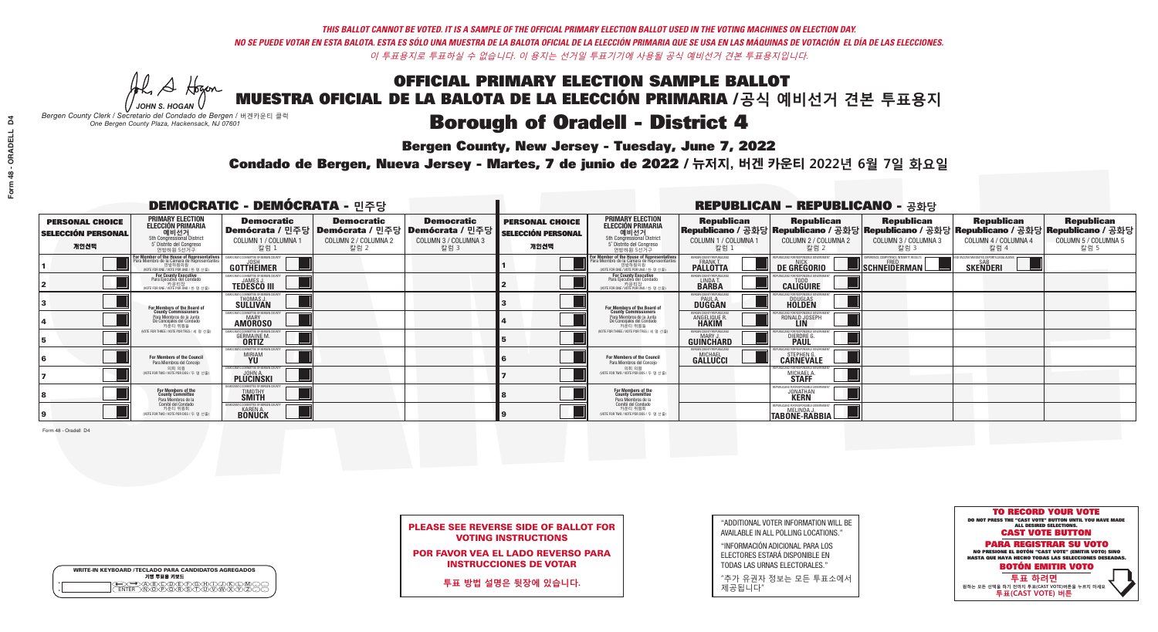**Bergen County, New Jersey - Tuesday, June 7, 2022** 

A Hogen *JOHN S. HOGAN*

| <b>WRITE-IN KEYBOARD /TECLADO PARA CANDIDATOS AGREGADOS</b><br>기명 투표용 키보드 |  |
|---------------------------------------------------------------------------|--|
| <del>QO</del> @@@@@@@@@QQ@<br>NTER_\N\@@@@R\\$\T\U\V\W\X                  |  |

*Bergen County Clerk / Secretario del Condado de Bergen /* 버겐카운티 클럭 *One Bergen County Plaza, Hackensack, NJ 07601*

Condado de Bergen, Nueva Jersey - Martes, 7 de junio de 2022 / 뉴저지, 버겐 카운티 2022년 6월 7일 화요일 *One Bergen County Plaza, Hackensack, NJ 07601*



PLEASE SEE REVERSE SIDE OF BALLOT FOR VOTING INSTRUCTIONS

POR FAVOR VEA EL LADO REVERSO PARA INSTRUCCIONES DE VOTAR

**투표 방법 설명은 뒷장에 있습니다.**

"ADDITIONAL VOTER INFORMATION WILL BE AVAILABLE IN ALL POLLING LOCATIONS."

"INFORMACIÓN ADICIONAL PARA LOS ELECTORES ESTARÁ DISPONIBLE EN TODAS LAS URNAS ELECTORALES."

"추가 유권자 정보는 모든 투표소에서 제공됩니다"

|                                                             |                                                                                                                                               |                                                                                |                                                   | <b>REPUBLICAN - REPUBLICANO - 공화당</b>                                                                  |                                                             |                                                                                                                                               |                                                            |                                                            |                                                                                                                                                |                                                       |                                                   |
|-------------------------------------------------------------|-----------------------------------------------------------------------------------------------------------------------------------------------|--------------------------------------------------------------------------------|---------------------------------------------------|--------------------------------------------------------------------------------------------------------|-------------------------------------------------------------|-----------------------------------------------------------------------------------------------------------------------------------------------|------------------------------------------------------------|------------------------------------------------------------|------------------------------------------------------------------------------------------------------------------------------------------------|-------------------------------------------------------|---------------------------------------------------|
| <b>PERSONAL CHOICE</b><br><b>SELECCIÓN PERSONAL</b><br>개인선택 | <b>PRIMARY ELECTION</b><br><b>ELECCIÓN PRIMARIA</b><br>예비선거<br>5th Congressional District<br>5° Distrito del Congreso<br>연방하원 5선거구            | <b>Democratic</b><br>COLUMN 1 / COLUMNA 1<br>칼럼 1                              | <b>Democratic</b><br>COLUMN 2 / COLUMNA 2<br>칼럼 2 | <b>Democratic</b><br>│Demócrata / 민주당│Demócrata / 민주당│Demócrata / 민주당│<br>COLUMN 3 / COLUMNA 3<br>칼럼 3 | <b>PERSONAL CHOICE</b><br><b>SELECCIÓN PERSONAL</b><br>개인선택 | <b>PRIMARY ELECTION</b><br><b>ELECCIÓN PRIMARIA</b><br>. 예비선거<br>5th Congressional District<br>5° Distrito del Congreso<br>연방하원 5선거구          | <b>Republican</b><br>COLUMN 1 / COLUMNA 1<br>칼럼 :          | <b>Republican</b><br>COLUMN 2 / COLUMNA 2<br>칼럼 2          | <b>Republican</b><br>Republicano / 공화당 Republicano / 공화당 Republicano / 공화당 Republicano / 공화당 Republicano / 공화당<br>COLUMN 3 / COLUMNA 3<br>칼럼 3 | <b>Republican</b><br>COLUMN 4 / COLUMNA 4<br>칼럼 4     | <b>Republican</b><br>COLUMN 5 / COLUMNA 5<br>칼럼 5 |
|                                                             | For Member of the House of Representatives<br>Para Miembro de la Cámara de Representantes<br>연방하원의원<br>(VOTE FOR ONE / VOTE POR UNO / 한 명 선출) | GOTTHEIMER                                                                     |                                                   |                                                                                                        |                                                             | For Member of the House of Representatives<br>Para Miembro de la Cámara de Representantes<br>연방하원의원<br>(VOTE FOR ONE / VOTE POR UNO / 한 명 선출) | BERGEN COUNTY REPUBLICANS<br>FRANK T.<br><b>PALLOTTA</b>   | DE GREGORIO                                                | SCHNEIDERMAN                                                                                                                                   | ) VACCINE MANDATES, DEPORT ILLEGAL ALIENS<br>SKEÑDERI |                                                   |
|                                                             | For County Executive<br>Para Ejecutivo del Condado<br>. 카운티장<br>(VOTE FOR ONE / VOTE POR UNO / 한 명 선출)                                        | )EMOCRATIC COMMITTEE OF BERGEN COUNTY<br><b>TEDESCO III</b>                    |                                                   |                                                                                                        |                                                             | <b>For County Executive</b><br>Para Ejecutivo del Condado<br>. 카운티장<br>(VOTE FOR ONE / VOTE POR UNO / 한 명 선출)                                 | BERGEN COUNTY REPUBLICAN<br>LINDA T.                       | <b>CALIGUIRE</b>                                           |                                                                                                                                                |                                                       |                                                   |
|                                                             | <b>For Members of the Board of<br/>County Commissioners</b>                                                                                   | MOCRATIC COMMITTEE OF BEBGEN COUNTY<br>THOMAS J.                               |                                                   |                                                                                                        |                                                             | For Members of the Board of<br>County Commissioners                                                                                           | ERGEN COUNTY REPUBLICAN<br><b>PAUL A.</b><br><b>DUGGAN</b> | <b>DOUGLAS</b>                                             |                                                                                                                                                |                                                       |                                                   |
|                                                             | Para Miembros de la Junta<br>De Concejales del Condado<br>카운티 위원들                                                                             | <b>CRATIC COMMITTEE OF BERGEN COUNT</b><br>MARY<br><b>AMOROSO</b>              |                                                   |                                                                                                        |                                                             | Para Miembros de la Junta<br>De Concejales del Condado<br>카운티 위원들                                                                             | RGEN COUNTY REPUBLICAN<br><b>ANGELIQUE R</b>               | RONALD JOSEPH                                              |                                                                                                                                                |                                                       |                                                   |
|                                                             | NOTE FOR THREE / VOTE POR TRES / 세 명 선출)                                                                                                      | IC COMMITTEE OF BERGEN COUN<br><b>GERMAINE M.</b>                              |                                                   |                                                                                                        |                                                             | WOTE FOR THREE / VOTE POR TRES / 세 명 선출                                                                                                       | ERGEN COUNTY REPUBLICANS<br>MARY J.<br>GUINCHARD           | DIERDRE G                                                  |                                                                                                                                                |                                                       |                                                   |
|                                                             | For Members of the Council<br>Para Miembros del Conceio                                                                                       | MOCRATIC COMMITTEE OF BERGEN CO<br><b>MIRIAM</b>                               |                                                   |                                                                                                        |                                                             | For Members of the Council<br>Para Miembros del Conceio                                                                                       | ERGEN COUNTY REPUBLICAN:<br><b>GALLUCCI</b>                | STEPHEN G.<br>CARNEVALE                                    |                                                                                                                                                |                                                       |                                                   |
|                                                             | 의회 의원<br>(VOTE FOR TWO / VOTE POR DOS / 두 명 선출)                                                                                               | EMOCRATIC COMMITTEE OF BERGEN COUNT<br><b>PLUCINSKI</b>                        |                                                   |                                                                                                        |                                                             | 의회 의원<br>(VOTE FOR TWO / VOTE POR DOS / 두 명 선출)                                                                                               |                                                            | RI ICANS ENR RESPANSIRI E GAV<br>MICHAEL A<br><b>STAFF</b> |                                                                                                                                                |                                                       |                                                   |
|                                                             | For Members of the<br>County Committee<br>Para Miembros de la                                                                                 | MOCRATIC COMMITTEE OF BERGEN COUNT<br><b>TIMOTHY</b>                           |                                                   |                                                                                                        |                                                             | For Members of the<br>County Committee<br>Para Miembros de la<br>Comité del Condado                                                           |                                                            | <b>JONATHAN</b>                                            |                                                                                                                                                |                                                       |                                                   |
|                                                             | Comité del Condado<br>카운티 위원회<br>(VOTE FOR TWO / VOTE POR DOS / 두 명 선출)                                                                       | <b>EMOCRATIC COMMITTEE OF BERGEN COUNT</b><br><b>KAREN A.</b><br><b>BONUCK</b> |                                                   |                                                                                                        |                                                             | 카운티 위원회<br>(VOTE FOR TWO / VOTE POR DOS / 두 명 선출)                                                                                             |                                                            | AFPURI ICANS FOR RESPONSIBLE GOVERNMENT<br>TABONE-RABBIA   |                                                                                                                                                |                                                       |                                                   |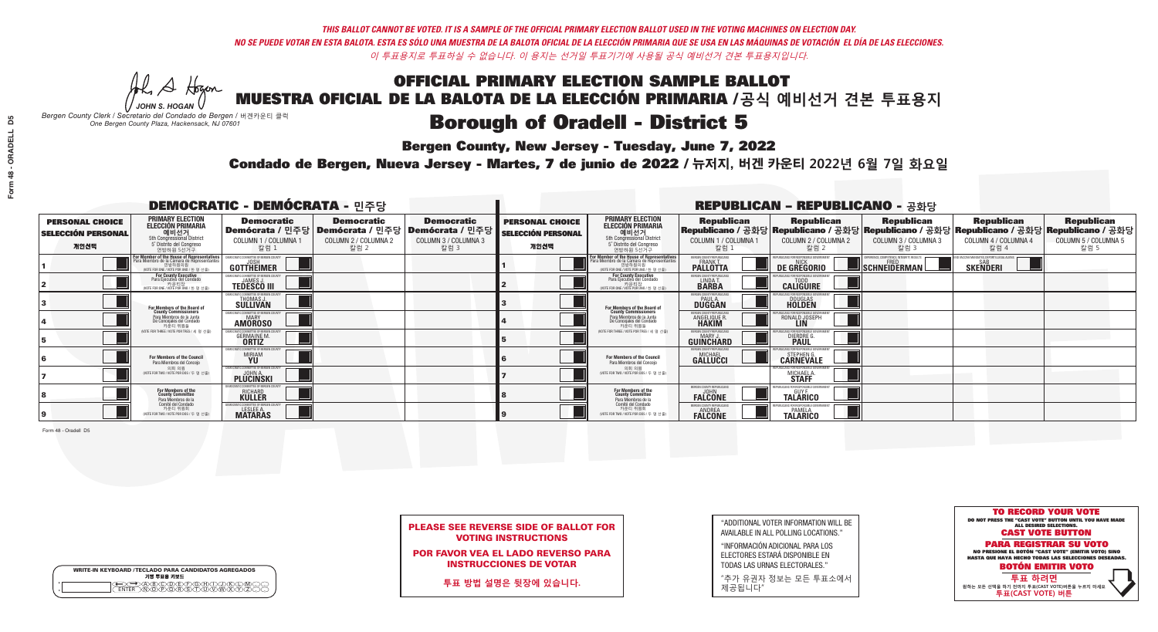**Bergen County, New Jersey - Tuesday, June 7, 2022** 

A Hogen *JOHN S. HOGAN*

|         | <b>WRITE-IN KEYBOARD /TECLADO PARA CANDIDATOS AGREGADOS</b><br>기명 투표용 키보드 |
|---------|---------------------------------------------------------------------------|
| 0       | ABODEADEAN                                                                |
| $\circ$ | <b>ඁ</b> ᠗ᢆ᠗ᢆ᠗ᢆᢆᢠᢙ                                                        |

*Bergen County Clerk / Secretario del Condado de Bergen /* 버겐카운티 클럭 *One Bergen County Plaza, Hackensack, NJ 07601*



PLEASE SEE REVERSE SIDE OF BALLOT FOR VOTING INSTRUCTIONS

POR FAVOR VEA EL LADO REVERSO PARA INSTRUCCIONES DE VOTAR

**투표 방법 설명은 뒷장에 있습니다.**

"ADDITIONAL VOTER INFORMATION WILL BE AVAILABLE IN ALL POLLING LOCATIONS."

"INFORMACIÓN ADICIONAL PARA LOS ELECTORES ESTARÁ DISPONIBLE EN TODAS LAS URNAS ELECTORALES."

"추가 유권자 정보는 모든 투표소에서 제공됩니다"

Condado de Bergen, Nueva Jersey - Martes, 7 de junio de 2022 / 뉴저지, 버겐 카운티 2022년 6월 7일 화요일 *One Bergen County Plaza, Hackensack, NJ 07601*

| <b>DEMOCRATIC - DEMÓCRATA - 민주당</b>                         |                                                                                                                                                  |                                                                          |                                                   |                                                                                                        |                                                             |                                                                                                                                   |                                                            | <b>REPUBLICAN - REPUBLICANO - 공화당</b>                                                                                                          |                                                         |                                                            |                                                   |
|-------------------------------------------------------------|--------------------------------------------------------------------------------------------------------------------------------------------------|--------------------------------------------------------------------------|---------------------------------------------------|--------------------------------------------------------------------------------------------------------|-------------------------------------------------------------|-----------------------------------------------------------------------------------------------------------------------------------|------------------------------------------------------------|------------------------------------------------------------------------------------------------------------------------------------------------|---------------------------------------------------------|------------------------------------------------------------|---------------------------------------------------|
| <b>PERSONAL CHOICE</b><br><b>SELECCIÓN PERSONAL</b><br>개인선택 | <b>PRIMARY ELECTION</b><br><b>ELECCIÓN PRIMARIA</b><br>예비선거<br>5th Congressional District<br>5° Distrito del Congreso<br>연방하원 5선거구               | <b>Democratic</b><br>COLUMN 1 / COLUMNA 1<br>칼럼 :                        | <b>Democratic</b><br>COLUMN 2 / COLUMNA 2<br>칼럼 2 | <b>Democratic</b><br>│Demócrata / 민주당│Demócrata / 민주당│Demócrata / 민주당┃<br>COLUMN 3 / COLUMNA 3<br>칼럼 3 | <b>PERSONAL CHOICE</b><br><b>SELECCIÓN PERSONAL</b><br>개인선택 | <b>PRIMARY ELECTION</b><br>ELECCIÓN PRIMARIA<br>예비선거<br>5th Congressional District<br>5° Distrito del Congreso<br>연방하원 5선거구       | <b>Republican</b><br>COLUMN 1 / COLUMNA 1<br>칼럼            | <b>Republican</b><br>Republicano / 공화당 Republicano / 공화당 Republicano / 공화당 Republicano / 공화당 Republicano / 공화당<br>COLUMN 2 / COLUMNA 2<br>칼럼 2 | Republican<br>COLUMN 3 / COLUMNA 3<br>칼럼 3              | <b>Republican</b><br>COLUMN 4 / COLUMNA 4<br>칼럼 4          | <b>Republican</b><br>COLUMN 5 / COLUMNA 5<br>칼럼 5 |
|                                                             | <b>r Member of the House of Representatives</b><br>ra Miembro de la Cámara de Representantes<br>연방하원의원<br>(VOTE FOR ONE / VOTE POR UNO / 한 명 선출) | GOTTHEIMER                                                               |                                                   |                                                                                                        |                                                             | For Member of the House of Representatives<br>Para Miembro de la Cámara de Representantes<br>WOTE FOR ONE / VOTE POR UNO / 한 명 선출 | BERGEN COUNTY REPUBLICANS<br>FRANK T.<br><b>PALLOTTA</b>   | DE GREGORIO                                                                                                                                    | PERIENCE, COMPETENCE, INTEGRITY, RESULT<br>SCHNEIDERMAN | VACCINE MANDATES, DEPORT ILLEGAL ALIENS<br><b>SKENDERI</b> |                                                   |
|                                                             | For County Executive<br>Para Ejecutivo del Condado<br>. 카운티장<br>(VOTE FOR ONE / VOTE POR UNO / 한 명 선출)                                           | )EMOCRATIC COMMITTEE OF BERGEN COUNTY<br><b>TEDESCO III</b>              |                                                   |                                                                                                        |                                                             | <b>For County Executive</b><br>Para Ejecutivo del Condado<br>카운티장<br>(VOTE FOR ONE / VOTE POR UNO / 한 명 선출)                       | BERGEN COUNTY REPUBLICAN<br>LINDA T.                       | <b>CALIGUIRE</b>                                                                                                                               |                                                         |                                                            |                                                   |
|                                                             | <b>For Members of the Board of<br/>County Commissioners</b>                                                                                      | MOCRATIC COMMITTEE OF BERGEN COUNTY<br>THOMAS J.                         |                                                   |                                                                                                        |                                                             | For Members of the Board of<br>County Commissioners                                                                               | ERGEN COUNTY REPUBLICAN<br><b>PAUL A.</b><br><b>DUGGAN</b> | <b>DOUGLAS</b>                                                                                                                                 |                                                         |                                                            |                                                   |
|                                                             | Para Miembros de la Junta<br>De Concejales del Condado<br>카운티 위원들                                                                                | <b>CRATIC COMMITTEE OF BERGEN COUNT</b><br><b>MARY</b><br><b>AMÖROSO</b> |                                                   |                                                                                                        |                                                             | Para Miembros de la Junta<br>De Concejales del Condado<br>카우티 위원들                                                                 | <b>RGEN COUNTY REPUBLICAN</b><br><b>ANGELIQUE F</b>        | RONALD JOSEPH                                                                                                                                  |                                                         |                                                            |                                                   |
|                                                             | NOTE FOR THREE / VOTE POR TRES / 세 명 선출)                                                                                                         | TIC COMMITTEE OF BERGEN COUI<br><b>GERMAINE M.</b><br><b>ORTIZ</b>       |                                                   |                                                                                                        |                                                             | (VOTE FOR THREE / VOTE POR TRES / 세 명 선출)                                                                                         | ERGEN COUNTY REPUBLICANS<br>MARY J<br>GUINCHARD            | <b>DIERDRE G</b><br><b>PAUL</b>                                                                                                                |                                                         |                                                            |                                                   |
|                                                             | For Members of the Council<br>Para Miembros del Conceio                                                                                          | MOCRATIC COMMITTEE OF BERGEN CI<br><b>MIRIAM</b>                         |                                                   |                                                                                                        |                                                             | For Members of the Council<br>Para Miembros del Conceio                                                                           | <b>GALLUCCI</b>                                            | STEPHEN G.<br><b>CARNEVALE</b>                                                                                                                 |                                                         |                                                            |                                                   |
|                                                             | 의회 의원<br>(VOTE FOR TWO / VOTE POR DOS / 두 명 선출)                                                                                                  | EMOCRATIC COMMITTEE OF BERGEN COUNT<br><b>PLUCINSKI</b>                  |                                                   |                                                                                                        |                                                             | 의회 의원<br>NOTE FOR TWO / VOTE POR DOS / 두 명 선출)                                                                                    |                                                            | MICHAEL A                                                                                                                                      |                                                         |                                                            |                                                   |
|                                                             | For Members of the<br>County Committee<br>Para Miembros de la                                                                                    | MOCRATIC COMMITTEE OF BERGEN C<br><b>RICHARD</b><br><b>KULLER</b>        |                                                   |                                                                                                        |                                                             | For Members of the<br>County Committee<br>Para Miembros de la<br>Comité del Condado                                               | BERGEN COUNTY REPUBLICAN<br><b>FALCONE</b>                 | <b>TALARICO</b>                                                                                                                                |                                                         |                                                            |                                                   |
|                                                             | Comité del Condado<br>카운티 위원회<br>(VOTE FOR TWO / VOTE POR DOS / 두 명 선출)                                                                          | <b>EMOCRATIC COMMITTEE OF BERGEN COUN</b><br>LESLEE A                    |                                                   |                                                                                                        |                                                             | 카운티 위원회<br>(VOTE FOR TWO / VOTE POR DOS / 두 명 선출                                                                                  | <b>RGEN COUNTY REPURLICAN</b><br><b>FALCONE</b>            | <b>TALARICO</b>                                                                                                                                |                                                         |                                                            |                                                   |